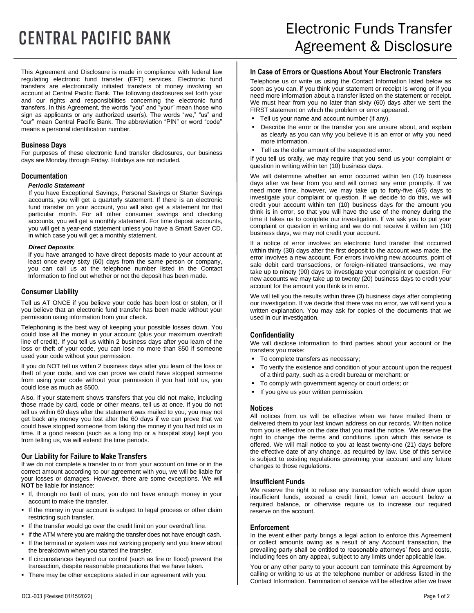# **CENTRAL PACIFIC BANK**

This Agreement and Disclosure is made in compliance with federal law regulating electronic fund transfer (EFT) services. Electronic fund transfers are electronically initiated transfers of money involving an account at Central Pacific Bank. The following disclosures set forth your and our rights and responsibilities concerning the electronic fund transfers. In this Agreement, the words "you" and "your" mean those who sign as applicants or any authorized user(s). The words "we," "us" and "our" mean Central Pacific Bank. The abbreviation "PIN" or word "code" means a personal identification number.

# **Business Days**

For purposes of these electronic fund transfer disclosures, our business days are Monday through Friday. Holidays are not included.

# **Documentation**

#### *Periodic Statement*

If you have Exceptional Savings, Personal Savings or Starter Savings accounts, you will get a quarterly statement. If there is an electronic fund transfer on your account, you will also get a statement for that particular month. For all other consumer savings and checking accounts, you will get a monthly statement. For time deposit accounts, you will get a year-end statement unless you have a Smart Saver CD, in which case you will get a monthly statement.

# *Direct Deposits*

If you have arranged to have direct deposits made to your account at least once every sixty (60) days from the same person or company, you can call us at the telephone number listed in the Contact Information to find out whether or not the deposit has been made.

# **Consumer Liability**

Tell us AT ONCE if you believe your code has been lost or stolen, or if you believe that an electronic fund transfer has been made without your permission using information from your check.

Telephoning is the best way of keeping your possible losses down. You could lose all the money in your account (plus your maximum overdraft line of credit). If you tell us within 2 business days after you learn of the loss or theft of your code, you can lose no more than \$50 if someone used your code without your permission.

If you do NOT tell us within 2 business days after you learn of the loss or theft of your code, and we can prove we could have stopped someone from using your code without your permission if you had told us, you could lose as much as \$500.

Also, if your statement shows transfers that you did not make, including those made by card, code or other means, tell us at once. If you do not tell us within 60 days after the statement was mailed to you, you may not get back any money you lost after the 60 days if we can prove that we could have stopped someone from taking the money if you had told us in time. If a good reason (such as a long trip or a hospital stay) kept you from telling us, we will extend the time periods.

# **Our Liability for Failure to Make Transfers**

If we do not complete a transfer to or from your account on time or in the correct amount according to our agreement with you, we will be liable for your losses or damages. However, there are some exceptions. We will **NOT** be liable for instance:

- If, through no fault of ours, you do not have enough money in your account to make the transfer.
- **.** If the money in your account is subject to legal process or other claim restricting such transfer.
- If the transfer would go over the credit limit on your overdraft line.
- **.** If the ATM where you are making the transfer does not have enough cash.
- **.** If the terminal or system was not working properly and you knew about the breakdown when you started the transfer.
- If circumstances beyond our control (such as fire or flood) prevent the transaction, despite reasonable precautions that we have taken.
- **There may be other exceptions stated in our agreement with you.**

# **In Case of Errors or Questions About Your Electronic Transfers**

Telephone us or write us using the Contact Information listed below as soon as you can, if you think your statement or receipt is wrong or if you need more information about a transfer listed on the statement or receipt. We must hear from you no later than sixty (60) days after we sent the FIRST statement on which the problem or error appeared.

- **•** Tell us your name and account number (if any).
- Describe the error or the transfer you are unsure about, and explain as clearly as you can why you believe it is an error or why you need more information.
- **Tell us the dollar amount of the suspected error.**

If you tell us orally, we may require that you send us your complaint or question in writing within ten (10) business days.

We will determine whether an error occurred within ten (10) business days after we hear from you and will correct any error promptly. If we need more time, however, we may take up to forty-five (45) days to investigate your complaint or question. If we decide to do this, we will credit your account within ten (10) business days for the amount you think is in error, so that you will have the use of the money during the time it takes us to complete our investigation. If we ask you to put your complaint or question in writing and we do not receive it within ten (10) business days, we may not credit your account.

If a notice of error involves an electronic fund transfer that occurred within thirty (30) days after the first deposit to the account was made, the error involves a new account. For errors involving new accounts, point of sale debit card transactions, or foreign-initiated transactions, we may take up to ninety (90) days to investigate your complaint or question. For new accounts we may take up to twenty (20) business days to credit your account for the amount you think is in error.

We will tell you the results within three (3) business days after completing our investigation. If we decide that there was no error, we will send you a written explanation. You may ask for copies of the documents that we used in our investigation.

# **Confidentiality**

We will disclose information to third parties about your account or the transfers you make:

- To complete transfers as necessary;
- To verify the existence and condition of your account upon the request of a third party, such as a credit bureau or merchant; or
- To comply with government agency or court orders; or
- If you give us your written permission.

# **Notices**

All notices from us will be effective when we have mailed them or delivered them to your last known address on our records. Written notice from you is effective on the date that you mail the notice. We reserve the right to change the terms and conditions upon which this service is offered. We will mail notice to you at least twenty-one (21) days before the effective date of any change, as required by law. Use of this service is subject to existing regulations governing your account and any future changes to those regulations.

# **Insufficient Funds**

We reserve the right to refuse any transaction which would draw upon insufficient funds, exceed a credit limit, lower an account below a required balance, or otherwise require us to increase our required reserve on the account.

# **Enforcement**

In the event either party brings a legal action to enforce this Agreement or collect amounts owing as a result of any Account transaction, the prevailing party shall be entitled to reasonable attorneys' fees and costs, including fees on any appeal, subject to any limits under applicable law.

You or any other party to your account can terminate this Agreement by calling or writing to us at the telephone number or address listed in the Contact Information. Termination of service will be effective after we have